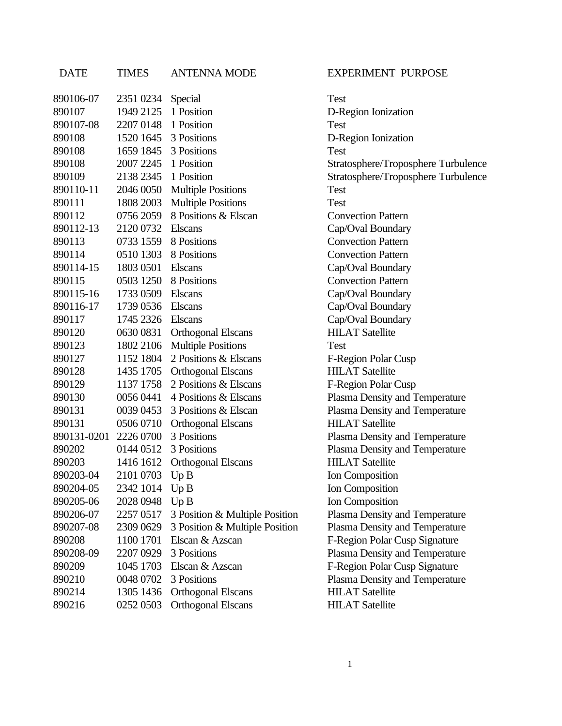## DATE TIMES ANTENNA MODE EXPERIMENT PURPOSE

| 890106-07           | 2351 0234            |                                | Test  |
|---------------------|----------------------|--------------------------------|-------|
| 890107              | 1949 2125 1 Position | Special                        | $D-R$ |
| 890107-08           | 2207 0148            | 1 Position                     | Test  |
| 890108              | 1520 1645            | 3 Positions                    | $D-R$ |
| 890108              | 1659 1845            | 3 Positions                    | Test  |
| 890108              | 2007 2245 1 Position |                                | Strat |
| 890109              | 2138 2345 1 Position |                                | Strat |
| 890110-11           | 2046 0050            | <b>Multiple Positions</b>      | Test  |
| 890111              | 1808 2003            | <b>Multiple Positions</b>      | Test  |
| 890112              | 0756 2059            | 8 Positions & Elscan           | Con   |
| 890112-13           | 2120 0732            | <b>Elscans</b>                 | Cap/  |
| 890113              | 0733 1559            | 8 Positions                    | Con   |
| 890114              |                      | 0510 1303 8 Positions          | Con   |
| 890114-15           | 1803 0501            | <b>Elscans</b>                 | Cap/  |
| 890115              | 0503 1250            | 8 Positions                    | Con   |
| 890115-16           | 1733 0509            | Elscans                        | Cap/  |
| 890116-17           | 1739 0536            | <b>Elscans</b>                 | Cap   |
| 890117              | 1745 2326            | <b>Elscans</b>                 | Cap/  |
| 890120              | 0630 0831            | <b>Orthogonal Elscans</b>      | HIL.  |
| 890123              | 1802 2106            | <b>Multiple Positions</b>      | Test  |
| 890127              | 1152 1804            | 2 Positions & Elscans          | $F-R$ |
| 890128              | 1435 1705            | <b>Orthogonal Elscans</b>      | HIL.  |
| 890129              | 1137 1758            | 2 Positions & Elscans          | $F-R$ |
| 890130              | 0056 0441            | 4 Positions & Elscans          | Plasi |
| 890131              | 0039 0453            | 3 Positions & Elscan           | Plasi |
| 890131              | 0506 0710            | <b>Orthogonal Elscans</b>      | HIL.  |
| 890131-0201         | 2226 0700            | 3 Positions                    | Plasi |
| 890202              | 0144 0512            | 3 Positions                    | Plas  |
| 890203              | 1416 1612            | <b>Orthogonal Elscans</b>      | HIL.  |
| 890203-04 2101 0703 |                      | Up B                           | Ion ( |
| 890204-05           | 2342 1014            | Up B                           | Ion ( |
| 890205-06           | 2028 0948 Up B       |                                | Ion ( |
| 890206-07           | 2257 0517            | 3 Position & Multiple Position | Plasi |
| 890207-08           | 2309 0629            | 3 Position & Multiple Position | Plas  |
| 890208              | 1100 1701            | Elscan & Azscan                | $F-R$ |
| 890208-09           | 2207 0929            | 3 Positions                    | Plasi |
| 890209              | 1045 1703            | Elscan & Azscan                | $F-R$ |
| 890210              | 0048 0702            | 3 Positions                    | Plasi |
| 890214              | 1305 1436            | <b>Orthogonal Elscans</b>      | HIL.  |
| 890216              | 0252 0503            | <b>Orthogonal Elscans</b>      | HIL.  |
|                     |                      |                                |       |

D-Region Ionization D-Region Ionization Stratosphere/Troposphere Turbulence Stratosphere/Troposphere Turbulence **Convection Pattern** Cap/Oval Boundary **Convection Pattern Convection Pattern** Cap/Oval Boundary **Convection Pattern** Cap/Oval Boundary Cap/Oval Boundary Cap/Oval Boundary **HILAT Satellite** F-Region Polar Cusp **HILAT Satellite** F-Region Polar Cusp Plasma Density and Temperature Plasma Density and Temperature **HILAT Satellite** Plasma Density and Temperature Plasma Density and Temperature **HILAT Satellite Ion Composition Ion Composition Ion Composition** tion Plasma Density and Temperature tion Plasma Density and Temperature F-Region Polar Cusp Signature Plasma Density and Temperature F-Region Polar Cusp Signature Plasma Density and Temperature **HILAT Satellite HILAT Satellite**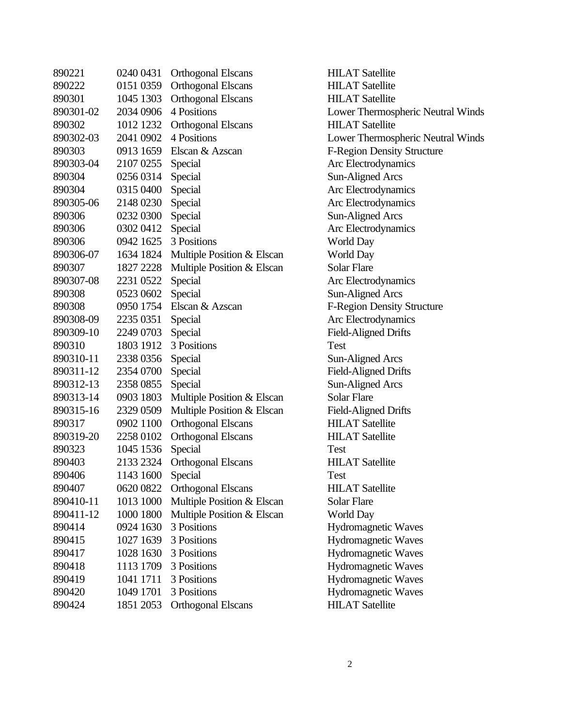| 890221    | 0240 0431 | <b>Orthogonal Elscans</b>  | HIL.  |
|-----------|-----------|----------------------------|-------|
| 890222    | 0151 0359 | <b>Orthogonal Elscans</b>  | HIL.  |
| 890301    | 1045 1303 | <b>Orthogonal Elscans</b>  | HIL.  |
| 890301-02 | 2034 0906 | 4 Positions                | Low   |
| 890302    | 1012 1232 | <b>Orthogonal Elscans</b>  | HIL.  |
| 890302-03 | 2041 0902 | 4 Positions                | Low   |
| 890303    | 0913 1659 | Elscan & Azscan            | $F-R$ |
| 890303-04 | 2107 0255 | Special                    | Arc   |
| 890304    | 0256 0314 | Special                    | Sun-  |
| 890304    | 0315 0400 | Special                    | Arc   |
| 890305-06 | 2148 0230 | Special                    | Arc   |
| 890306    | 0232 0300 | Special                    | Sun-  |
| 890306    | 0302 0412 | Special                    | Arc   |
| 890306    | 0942 1625 | 3 Positions                | Wor   |
| 890306-07 | 1634 1824 | Multiple Position & Elscan | Wor   |
| 890307    | 1827 2228 | Multiple Position & Elscan | Sola  |
| 890307-08 | 2231 0522 | Special                    | Arc   |
| 890308    | 0523 0602 | Special                    | Sun-  |
| 890308    | 0950 1754 | Elscan & Azscan            | $F-R$ |
| 890308-09 | 2235 0351 | Special                    | Arc   |
| 890309-10 | 2249 0703 | Special                    | Field |
| 890310    | 1803 1912 | 3 Positions                | Test  |
| 890310-11 | 2338 0356 | Special                    | Sun-  |
| 890311-12 | 2354 0700 | Special                    | Field |
| 890312-13 | 2358 0855 | Special                    | Sun-  |
| 890313-14 | 0903 1803 | Multiple Position & Elscan | Sola  |
| 890315-16 | 2329 0509 | Multiple Position & Elscan | Field |
| 890317    | 0902 1100 | <b>Orthogonal Elscans</b>  | HIL.  |
| 890319-20 | 2258 0102 | <b>Orthogonal Elscans</b>  | HIL.  |
| 890323    | 1045 1536 | Special                    | Test  |
| 890403    | 2133 2324 | <b>Orthogonal Elscans</b>  | HIL.  |
| 890406    | 1143 1600 | Special                    | Test  |
| 890407    | 0620 0822 | <b>Orthogonal Elscans</b>  | HIL.  |
| 890410-11 | 1013 1000 | Multiple Position & Elscan | Sola  |
| 890411-12 | 1000 1800 | Multiple Position & Elscan | Wor   |
| 890414    | 0924 1630 | 3 Positions                | Hyd   |
| 890415    | 1027 1639 | 3 Positions                | Hyd   |
| 890417    | 1028 1630 | 3 Positions                | Hyd   |
| 890418    | 1113 1709 | 3 Positions                | Hyd   |
| 890419    | 1041 1711 | 3 Positions                | Hyd   |
| 890420    | 1049 1701 | 3 Positions                | Hyd   |
| 890424    | 1851 2053 | <b>Orthogonal Elscans</b>  | HП.   |

**HILAT Satellite HILAT Satellite HILAT Satellite** Lower Thermospheric Neutral Winds HILAT Satellite Lower Thermospheric Neutral Winds F-Region Density Structure Arc Electrodynamics Sun-Aligned Arcs Arc Electrodynamics Arc Electrodynamics Sun-Aligned Arcs Arc Electrodynamics World Day World Day Solar Flare Arc Electrodynamics Sun-Aligned Arcs F-Region Density Structure Arc Electrodynamics Field-Aligned Drifts Sun-Aligned Arcs Field-Aligned Drifts Sun-Aligned Arcs Solar Flare Field-Aligned Drifts **HILAT Satellite** HILAT Satellite **HILAT Satellite HILAT Satellite** Solar Flare World Day Hydromagnetic Waves Hydromagnetic Waves Hydromagnetic Waves Hydromagnetic Waves Hydromagnetic Waves Hydromagnetic Waves **HILAT Satellite**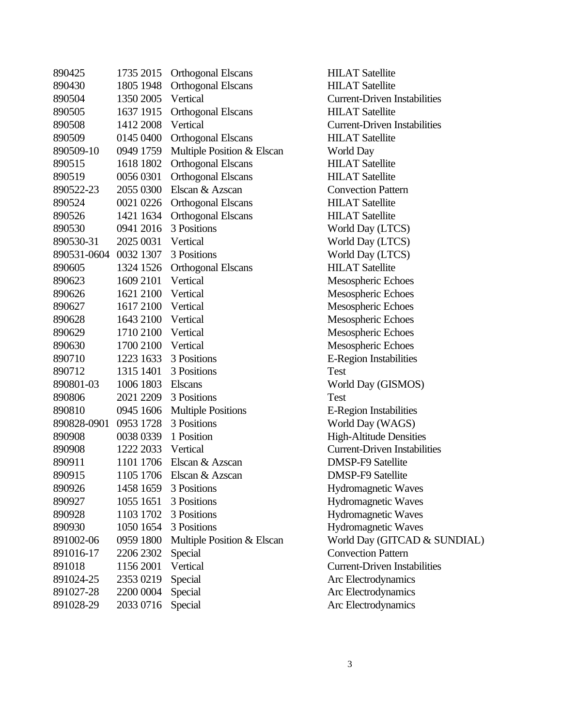| 890425      | 1735 2015 | <b>Orthogonal Elscans</b>  | HIL.      |
|-------------|-----------|----------------------------|-----------|
| 890430      | 1805 1948 | <b>Orthogonal Elscans</b>  | HIL.      |
| 890504      | 1350 2005 | Vertical                   | Curr      |
| 890505      | 1637 1915 | <b>Orthogonal Elscans</b>  | HIL.      |
| 890508      | 1412 2008 | Vertical                   | Curr      |
| 890509      | 0145 0400 | <b>Orthogonal Elscans</b>  | HIL.      |
| 890509-10   | 0949 1759 | Multiple Position & Elscan | Wor       |
| 890515      | 1618 1802 | <b>Orthogonal Elscans</b>  | HIL.      |
| 890519      | 0056 0301 | <b>Orthogonal Elscans</b>  | HIL.      |
| 890522-23   | 2055 0300 | Elscan & Azscan            | Con       |
| 890524      | 0021 0226 | <b>Orthogonal Elscans</b>  | HIL.      |
| 890526      | 1421 1634 | <b>Orthogonal Elscans</b>  | HIL.      |
| 890530      | 0941 2016 | 3 Positions                | Wor       |
| 890530-31   | 2025 0031 | Vertical                   | Wor       |
| 890531-0604 | 0032 1307 | 3 Positions                | Wor       |
| 890605      | 1324 1526 | <b>Orthogonal Elscans</b>  | HIL.      |
| 890623      | 1609 2101 | Vertical                   | Mes       |
| 890626      | 1621 2100 | Vertical                   | Mes       |
| 890627      | 1617 2100 | Vertical                   | Mes       |
| 890628      | 1643 2100 | Vertical                   | Mes       |
| 890629      | 1710 2100 | Vertical                   | Mes       |
| 890630      | 1700 2100 | Vertical                   | Mes       |
| 890710      | 1223 1633 | 3 Positions                | $E-R$     |
| 890712      | 1315 1401 | 3 Positions                | Test      |
| 890801-03   | 1006 1803 | <b>Elscans</b>             | Wor       |
| 890806      | 2021 2209 | 3 Positions                | Test      |
| 890810      | 0945 1606 | <b>Multiple Positions</b>  | $E-R$     |
| 890828-0901 | 0953 1728 | 3 Positions                | Wor       |
| 890908      | 0038 0339 | 1 Position                 | High      |
| 890908      | 1222 2033 | Vertical                   | Curr      |
| 890911      | 1101 1706 | Elscan & Azscan            | <b>DM</b> |
| 890915      | 1105 1706 | Elscan & Azscan            | DM.       |
| 890926      | 1458 1659 | 3 Positions                | Hyd       |
| 890927      | 1055 1651 | 3 Positions                | Hyd       |
| 890928      | 1103 1702 | 3 Positions                | Hyd       |
| 890930      | 1050 1654 | 3 Positions                | Hyd       |
| 891002-06   | 0959 1800 | Multiple Position & Elscan | Wor       |
| 891016-17   | 2206 2302 | Special                    | Con       |
| 891018      | 1156 2001 | Vertical                   | Curr      |
| 891024-25   | 2353 0219 | Special                    | Arc       |
| 891027-28   | 2200 0004 | Special                    | Arc       |
| 891028-29   | 2033 0716 | Special                    | Arc       |
|             |           |                            |           |

**HILAT Satellite HILAT Satellite Current-Driven Instabilities HILAT Satellite Current-Driven Instabilities HILAT Satellite** World Day HILAT Satellite **HILAT Satellite Convection Pattern HILAT Satellite** HILAT Satellite World Day (LTCS) World Day (LTCS) World Day (LTCS) HILAT Satellite Mesospheric Echoes Mesospheric Echoes Mesospheric Echoes Mesospheric Echoes Mesospheric Echoes Mesospheric Echoes E-Region Instabilities World Day (GISMOS) E-Region Instabilities World Day (WAGS) High-Altitude Densities **Current-Driven Instabilities DMSP-F9 Satellite** DMSP-F9 Satellite Hydromagnetic Waves Hydromagnetic Waves Hydromagnetic Waves Hydromagnetic Waves World Day (GITCAD & SUNDIAL) **Convection Pattern Current-Driven Instabilities** Arc Electrodynamics Arc Electrodynamics Arc Electrodynamics